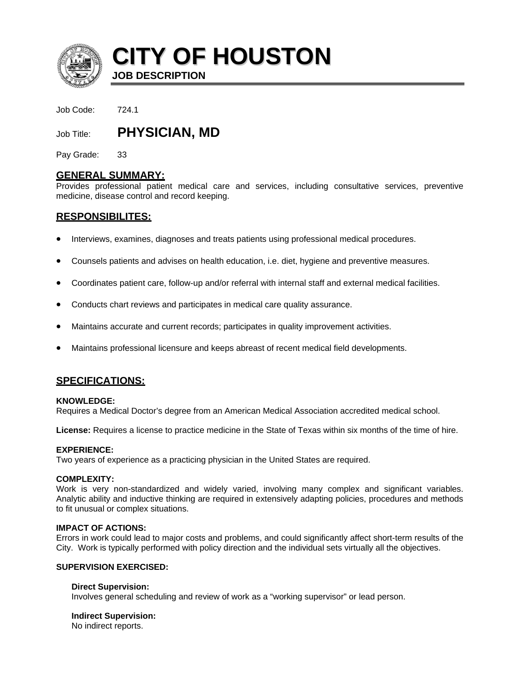

**CITY OF HOUSTON JOB DESCRIPTION** 

Job Code: 724.1

Job Title: **PHYSICIAN, MD**

Pay Grade: 33

# **GENERAL SUMMARY:**

Provides professional patient medical care and services, including consultative services, preventive medicine, disease control and record keeping.

# **RESPONSIBILITES:**

- Interviews, examines, diagnoses and treats patients using professional medical procedures.
- Counsels patients and advises on health education, i.e. diet, hygiene and preventive measures.
- Coordinates patient care, follow-up and/or referral with internal staff and external medical facilities.
- Conducts chart reviews and participates in medical care quality assurance.
- Maintains accurate and current records; participates in quality improvement activities.
- Maintains professional licensure and keeps abreast of recent medical field developments.

# **SPECIFICATIONS:**

## **KNOWLEDGE:**

Requires a Medical Doctor's degree from an American Medical Association accredited medical school.

**License:** Requires a license to practice medicine in the State of Texas within six months of the time of hire.

## **EXPERIENCE:**

Two years of experience as a practicing physician in the United States are required.

## **COMPLEXITY:**

Work is very non-standardized and widely varied, involving many complex and significant variables. Analytic ability and inductive thinking are required in extensively adapting policies, procedures and methods to fit unusual or complex situations.

# **IMPACT OF ACTIONS:**

Errors in work could lead to major costs and problems, and could significantly affect short-term results of the City. Work is typically performed with policy direction and the individual sets virtually all the objectives.

# **SUPERVISION EXERCISED:**

## **Direct Supervision:**

Involves general scheduling and review of work as a "working supervisor" or lead person.

## **Indirect Supervision:**

No indirect reports.